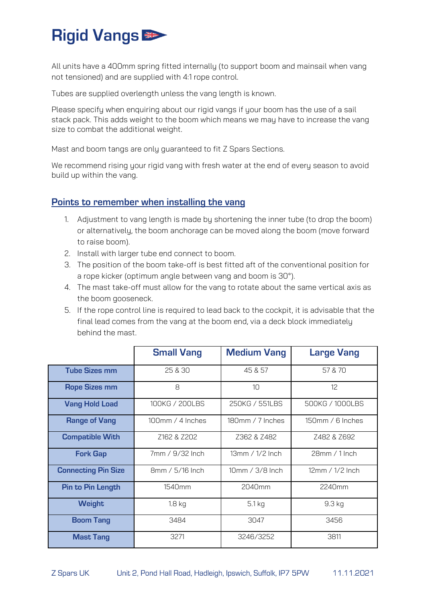## **Rigid Vangs**

All units have a 400mm spring fitted internally (to support boom and mainsail when vang not tensioned) and are supplied with 4:1 rope control.

Tubes are supplied overlength unless the vang length is known.

Please specify when enquiring about our rigid vangs if your boom has the use of a sail stack pack. This adds weight to the boom which means we may have to increase the vang size to combat the additional weight.

Mast and boom tangs are only guaranteed to fit Z Spars Sections.

We recommend rising your rigid vang with fresh water at the end of every season to avoid build up within the vang.

## Points to remember when installing the vang

- 1. Adjustment to vang length is made by shortening the inner tube (to drop the boom) or alternatively, the boom anchorage can be moved along the boom (move forward to raise boom).
- 2. Install with larger tube end connect to boom.
- 3. The position of the boom take-off is best fitted aft of the conventional position for a rope kicker (optimum angle between vang and boom is 30°).
- 4. The mast take-off must allow for the vang to rotate about the same vertical axis as the boom gooseneck.
- 5. If the rope control line is required to lead back to the cockpit, it is advisable that the final lead comes from the vang at the boom end, via a deck block immediately behind the mast.

|                            | <b>Small Vang</b> | <b>Medium Vang</b>   | <b>Large Vang</b> |
|----------------------------|-------------------|----------------------|-------------------|
| <b>Tube Sizes mm</b>       | 25 & 30           | 45 & 57              | 57 & 70           |
| <b>Rope Sizes mm</b>       | 8                 | 10                   | 12                |
| <b>Vang Hold Load</b>      | 100KG / 200LBS    | 250KG / 551LBS       | 500KG / 1000LBS   |
| <b>Range of Vang</b>       | 100mm / 4 Inches  | 180mm / 7 Inches     | 150mm / 6 Inches  |
| <b>Compatible With</b>     | Z162 & Z202       | Z362 & Z482          | Z482 & Z692       |
| <b>Fork Gap</b>            | 7mm / 9/32 Inch   | 13mm / 1/2 Inch      | 28mm / 1 Inch     |
| <b>Connecting Pin Size</b> | 8mm / 5/16 Inch   | $10$ mm / $3/8$ Inch | 12mm / 1/2 Inch   |
| <b>Pin to Pin Length</b>   | 1540mm            | 2040mm               | 2240mm            |
| <b>Weight</b>              | $1.8$ kg          | 5.1 kg               | 9.3 kg            |
| <b>Boom Tang</b>           | 3484              | 3047                 | 3456              |
| <b>Mast Tang</b>           | 3271              | 3246/3252            | 3811              |